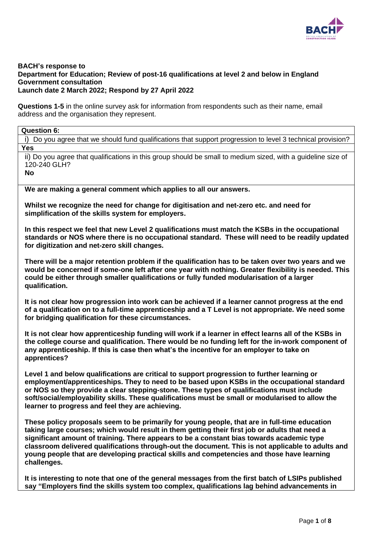

#### **BACH's response to Department for Education; Review of post-16 qualifications at level 2 and below in England Government consultation Launch date 2 March 2022; Respond by 27 April 2022**

**Questions 1-5** in the online survey ask for information from respondents such as their name, email address and the organisation they represent.

| <b>Question 6:</b> |  |
|--------------------|--|
|--------------------|--|

i) Do you agree that we should fund qualifications that support progression to level 3 technical provision? **Yes**

ii) Do you agree that qualifications in this group should be small to medium sized, with a guideline size of 120-240 GLH?

**No** 

**We are making a general comment which applies to all our answers.** 

**Whilst we recognize the need for change for digitisation and net-zero etc. and need for simplification of the skills system for employers.**

**In this respect we feel that new Level 2 qualifications must match the KSBs in the occupational standards or NOS where there is no occupational standard. These will need to be readily updated for digitization and net-zero skill changes.** 

**There will be a major retention problem if the qualification has to be taken over two years and we would be concerned if some-one left after one year with nothing. Greater flexibility is needed. This could be either through smaller qualifications or fully funded modularisation of a larger qualification.** 

**It is not clear how progression into work can be achieved if a learner cannot progress at the end of a qualification on to a full-time apprenticeship and a T Level is not appropriate. We need some for bridging qualification for these circumstances.** 

**It is not clear how apprenticeship funding will work if a learner in effect learns all of the KSBs in the college course and qualification. There would be no funding left for the in-work component of any apprenticeship. If this is case then what's the incentive for an employer to take on apprentices?**

**Level 1 and below qualifications are critical to support progression to further learning or employment/apprenticeships. They to need to be based upon KSBs in the occupational standard or NOS so they provide a clear stepping-stone. These types of qualifications must include soft/social/employability skills. These qualifications must be small or modularised to allow the learner to progress and feel they are achieving.** 

**These policy proposals seem to be primarily for young people, that are in full-time education taking large courses; which would result in them getting their first job or adults that need a significant amount of training. There appears to be a constant bias towards academic type classroom delivered qualifications through-out the document. This is not applicable to adults and young people that are developing practical skills and competencies and those have learning challenges.** 

**It is interesting to note that one of the general messages from the first batch of LSIPs published say "Employers find the skills system too complex, qualifications lag behind advancements in**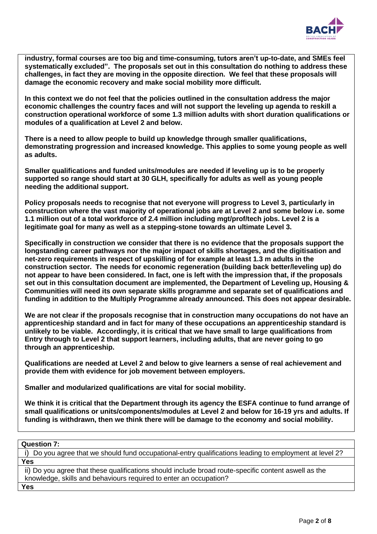

**industry, formal courses are too big and time-consuming, tutors aren't up-to-date, and SMEs feel systematically excluded". The proposals set out in this consultation do nothing to address these challenges, in fact they are moving in the opposite direction. We feel that these proposals will damage the economic recovery and make social mobility more difficult.** 

**In this context we do not feel that the policies outlined in the consultation address the major economic challenges the country faces and will not support the leveling up agenda to reskill a construction operational workforce of some 1.3 million adults with short duration qualifications or modules of a qualification at Level 2 and below.**

**There is a need to allow people to build up knowledge through smaller qualifications, demonstrating progression and increased knowledge. This applies to some young people as well as adults.** 

**Smaller qualifications and funded units/modules are needed if leveling up is to be properly supported so range should start at 30 GLH, specifically for adults as well as young people needing the additional support.**

**Policy proposals needs to recognise that not everyone will progress to Level 3, particularly in construction where the vast majority of operational jobs are at Level 2 and some below i.e. some 1.1 million out of a total workforce of 2.4 million including mgt/prof/tech jobs. Level 2 is a legitimate goal for many as well as a stepping-stone towards an ultimate Level 3.** 

**Specifically in construction we consider that there is no evidence that the proposals support the longstanding career pathways nor the major impact of skills shortages, and the digitisation and net-zero requirements in respect of upskilling of for example at least 1.3 m adults in the construction sector. The needs for economic regeneration (building back better/leveling up) do not appear to have been considered. In fact, one is left with the impression that, if the proposals set out in this consultation document are implemented, the Department of Leveling up, Housing & Communities will need its own separate skills programme and separate set of qualifications and funding in addition to the Multiply Programme already announced. This does not appear desirable.** 

**We are not clear if the proposals recognise that in construction many occupations do not have an apprenticeship standard and in fact for many of these occupations an apprenticeship standard is unlikely to be viable. Accordingly, it is critical that we have small to large qualifications from Entry through to Level 2 that support learners, including adults, that are never going to go through an apprenticeship.** 

**Qualifications are needed at Level 2 and below to give learners a sense of real achievement and provide them with evidence for job movement between employers.** 

**Smaller and modularized qualifications are vital for social mobility.**

**We think it is critical that the Department through its agency the ESFA continue to fund arrange of small qualifications or units/components/modules at Level 2 and below for 16-19 yrs and adults. If funding is withdrawn, then we think there will be damage to the economy and social mobility.** 

**Question 7:**

i) Do you agree that we should fund occupational-entry qualifications leading to employment at level 2? **Yes**  ii) Do you agree that these qualifications should include broad route-specific content aswell as the knowledge, skills and behaviours required to enter an occupation?

**Yes**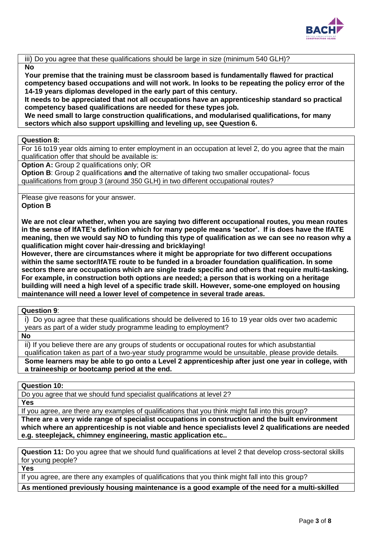

iii) Do you agree that these qualifications should be large in size (minimum 540 GLH)?

# **No**

**Your premise that the training must be classroom based is fundamentally flawed for practical competency based occupations and will not work. In looks to be repeating the policy error of the 14-19 years diplomas developed in the early part of this century.**

**It needs to be appreciated that not all occupations have an apprenticeship standard so practical competency based qualifications are needed for these types job.**

**We need small to large construction qualifications, and modularised qualifications, for many sectors which also support upskilling and leveling up, see Question 6.** 

# **Question 8:**

For 16 to19 year olds aiming to enter employment in an occupation at level 2, do you agree that the main qualification offer that should be available is:

**Option A:** Group 2 qualifications only; OR

**Option B**: Group 2 qualifications **and** the alternative of taking two smaller occupational- focus qualifications from group 3 (around 350 GLH) in two different occupational routes?

Please give reasons for your answer. **Option B**

**We are not clear whether, when you are saying two different occupational routes, you mean routes in the sense of IfATE's definition which for many people means 'sector'. If is does have the IfATE meaning, then we would say NO to funding this type of qualification as we can see no reason why a qualification might cover hair-dressing and bricklaying!**

**However, there are circumstances where it might be appropriate for two different occupations within the same sector/IfATE route to be funded in a broader foundation qualification. In some sectors there are occupations which are single trade specific and others that require multi-tasking. For example, in construction both options are needed; a person that is working on a heritage building will need a high level of a specific trade skill. However, some-one employed on housing maintenance will need a lower level of competence in several trade areas.** 

**Question 9**:

i) Do you agree that these qualifications should be delivered to 16 to 19 year olds over two academic years as part of a wider study programme leading to employment?

**No**

ii) If you believe there are any groups of students or occupational routes for which asubstantial qualification taken as part of a two-year study programme would be unsuitable, please provide details. **Some learners may be able to go onto a Level 2 apprenticeship after just one year in college, with a traineeship or bootcamp period at the end.** 

**Question 10:**

Do you agree that we should fund specialist qualifications at level 2?

**Yes**

If you agree, are there any examples of qualifications that you think might fall into this group?

**There are a very wide range of specialist occupations in construction and the built environment which where an apprenticeship is not viable and hence specialists level 2 qualifications are needed e.g. steeplejack, chimney engineering, mastic application etc..**

**Question 11:** Do you agree that we should fund qualifications at level 2 that develop cross-sectoral skills for young people?

**Yes**

If you agree, are there any examples of qualifications that you think might fall into this group?

**As mentioned previously housing maintenance is a good example of the need for a multi-skilled**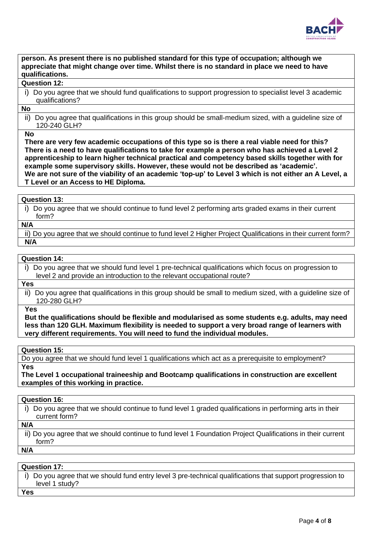

**person. As present there is no published standard for this type of occupation; although we appreciate that might change over time. Whilst there is no standard in place we need to have qualifications.** 

#### **Question 12:**

i) Do you agree that we should fund qualifications to support progression to specialist level 3 academic qualifications?

#### **No**

ii) Do you agree that qualifications in this group should be small-medium sized, with a guideline size of 120-240 GLH?

#### **No**

**There are very few academic occupations of this type so is there a real viable need for this? There is a need to have qualifications to take for example a person who has achieved a Level 2 apprenticeship to learn higher technical practical and competency based skills together with for example some supervisory skills. However, these would not be described as 'academic'. We are not sure of the viability of an academic 'top-up' to Level 3 which is not either an A Level, a T Level or an Access to HE Diploma.**

### **Question 13:**

i) Do you agree that we should continue to fund level 2 performing arts graded exams in their current form?

# **N/A**

ii) Do you agree that we should continue to fund level 2 Higher Project Qualifications in their current form? **N/A**

# **Question 14:**

i) Do you agree that we should fund level 1 pre-technical qualifications which focus on progression to level 2 and provide an introduction to the relevant occupational route?

# **Yes**

ii) Do you agree that qualifications in this group should be small to medium sized, with a guideline size of 120-280 GLH?

# **Yes**

**But the qualifications should be flexible and modularised as some students e.g. adults, may need less than 120 GLH. Maximum flexibility is needed to support a very broad range of learners with very different requirements. You will need to fund the individual modules.**

#### **Question 15:**

Do you agree that we should fund level 1 qualifications which act as a prerequisite to employment? **Yes**

**The Level 1 occupational traineeship and Bootcamp qualifications in construction are excellent examples of this working in practice.**

#### **Question 16:**

i) Do you agree that we should continue to fund level 1 graded qualifications in performing arts in their current form?

# **N/A**

ii) Do you agree that we should continue to fund level 1 Foundation Project Qualifications in their current form?

**N/A**

#### **Question 17:**

i) Do you agree that we should fund entry level 3 pre-technical qualifications that support progression to level 1 study?

**Yes**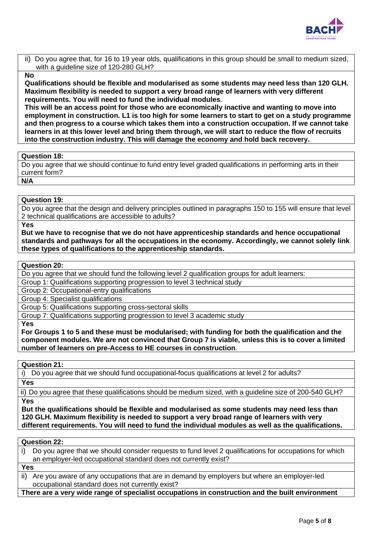

ii) Do you agree that, for 16 to 19 year olds, qualifications in this group should be small to medium sized, with a guideline size of 120-280 GLH?

# **No**

**Qualifications should be flexible and modularised as some students may need less than 120 GLH. Maximum flexibility is needed to support a very broad range of learners with very different requirements. You will need to fund the individual modules**.

**This will be an access point for those who are economically inactive and wanting to move into employment in construction. L1 is too high for some learners to start to get on a study programme and then progress to a course which takes them into a construction occupation. If we cannot take learners in at this lower level and bring them through, we will start to reduce the flow of recruits into the construction industry. This will damage the economy and hold back recovery.** 

# **Question 18:**

Do you agree that we should continue to fund entry level graded qualifications in performing arts in their current form?

**N/A**

# **Question 19:**

Do you agree that the design and delivery principles outlined in paragraphs 150 to 155 will ensure that level 2 technical qualifications are accessible to adults?

**Yes**

**But we have to recognise that we do not have apprenticeship standards and hence occupational standards and pathways for all the occupations in the economy. Accordingly, we cannot solely link these types of qualifications to the apprenticeship standards.**

#### **Question 20:**

Do you agree that we should fund the following level 2 qualification groups for adult learners:

Group 1: Qualifications supporting progression to level 3 technical study

Group 2: Occupational-entry qualifications

Group 4: Specialist qualifications

Group 5: Qualifications supporting cross-sectoral skills

Group 7: Qualifications supporting progression to level 3 academic study

**Yes** 

**For Groups 1 to 5 and these must be modularised; with funding for both the qualification and the component modules. We are not convinced that Group 7 is viable, unless this is to cover a limited number of learners on pre-Access to HE courses in construction**.

#### **Question 21:**

i) Do you agree that we should fund occupational-focus qualifications at level 2 for adults?

**Yes**

ii) Do you agree that these qualifications should be medium sized, with a guideline size of 200-540 GLH? **Yes**

**But the qualifications should be flexible and modularised as some students may need less than 120 GLH. Maximum flexibility is needed to support a very broad range of learners with very different requirements. You will need to fund the individual modules as well as the qualifications.**

### **Question 22:**

i) Do you agree that we should consider requests to fund level 2 qualifications for occupations for which an employer-led occupational standard does not currently exist?

**Yes**

ii) Are you aware of any occupations that are in demand by employers but where an employer-led occupational standard does not currently exist?

**There are a very wide range of specialist occupations in construction and the built environment**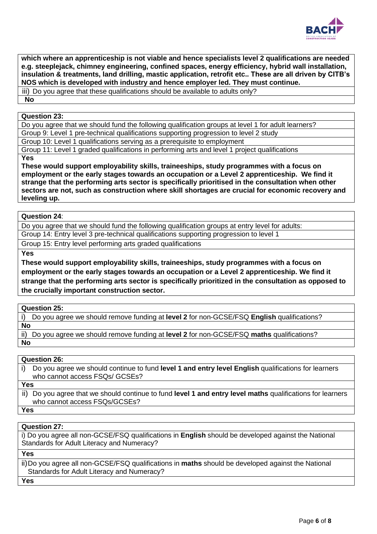

**which where an apprenticeship is not viable and hence specialists level 2 qualifications are needed e.g. steeplejack, chimney engineering, confined spaces, energy efficiency, hybrid wall installation, insulation & treatments, land drilling, mastic application, retrofit etc.. These are all driven by CITB's NOS which is developed with industry and hence employer led. They must continue.** 

iii) Do you agree that these qualifications should be available to adults only? **No**

### **Question 23:**

Do you agree that we should fund the following qualification groups at level 1 for adult learners? Group 9: Level 1 pre-technical qualifications supporting progression to level 2 study

Group 10: Level 1 qualifications serving as a prerequisite to employment

Group 11: Level 1 graded qualifications in performing arts and level 1 project qualifications

**Yes**

**These would support employability skills, traineeships, study programmes with a focus on employment or the early stages towards an occupation or a Level 2 apprenticeship. We find it strange that the performing arts sector is specifically prioritised in the consultation when other sectors are not, such as construction where skill shortages are crucial for economic recovery and leveling up.** 

# **Question 24**:

Do you agree that we should fund the following qualification groups at entry level for adults:

Group 14: Entry level 3 pre-technical qualifications supporting progression to level 1

Group 15: Entry level performing arts graded qualifications

**Yes** 

**These would support employability skills, traineeships, study programmes with a focus on employment or the early stages towards an occupation or a Level 2 apprenticeship. We find it strange that the performing arts sector is specifically prioritized in the consultation as opposed to the crucially important construction sector.**

# **Question 25:**

i) Do you agree we should remove funding at **level 2** for non-GCSE/FSQ **English** qualifications? **No**

ii) Do you agree we should remove funding at **level 2** for non-GCSE/FSQ **maths** qualifications? **No**

# **Question 26:**

|            | i) Do you agree we should continue to fund level 1 and entry level English qualifications for learners<br>who cannot access FSQs/ GCSEs?    |
|------------|---------------------------------------------------------------------------------------------------------------------------------------------|
| <b>Yes</b> |                                                                                                                                             |
|            | ii) Do you agree that we should continue to fund level 1 and entry level maths qualifications for learners<br>who cannot access FSQs/GCSEs? |
| <b>Yes</b> |                                                                                                                                             |

**Question 27:**

i) Do you agree all non-GCSE/FSQ qualifications in **English** should be developed against the National Standards for Adult Literacy and Numeracy?

**Yes**

ii)Do you agree all non-GCSE/FSQ qualifications in **maths** should be developed against the National Standards for Adult Literacy and Numeracy?

**Yes**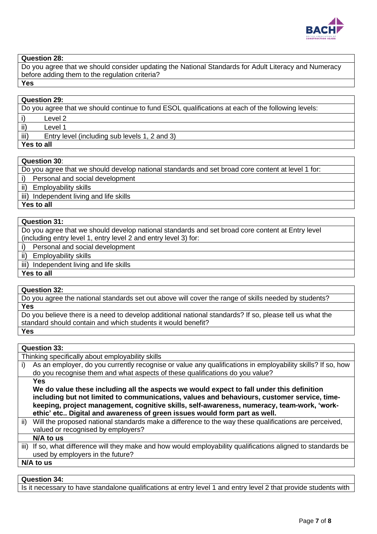

# **Question 28:**

Do you agree that we should consider updating the National Standards for Adult Literacy and Numeracy before adding them to the regulation criteria? **Yes**

| <b>Question 29:</b>                                                                               |  |
|---------------------------------------------------------------------------------------------------|--|
| Do you agree that we should continue to fund ESOL qualifications at each of the following levels: |  |
| Level 2                                                                                           |  |
| $\vert$ ii)<br>Level 1                                                                            |  |
| iii)<br>Entry level (including sub levels 1, 2 and 3)                                             |  |
| Yes to all                                                                                        |  |

#### **Question 30**:

Do you agree that we should develop national standards and set broad core content at level 1 for:

i) Personal and social development

ii) Employability skills

iii) Independent living and life skills

**Yes to all**

# **Question 31:**

Do you agree that we should develop national standards and set broad core content at Entry level (including entry level 1, entry level 2 and entry level 3) for:

i) Personal and social development

ii) Employability skills

iii) Independent living and life skills

**Yes to all**

#### **Question 32:**

Do you agree the national standards set out above will cover the range of skills needed by students? **Yes**

Do you believe there is a need to develop additional national standards? If so, please tell us what the standard should contain and which students it would benefit?

#### **Yes**

#### **Question 33:**

Thinking specifically about employability skills

i) As an employer, do you currently recognise or value any qualifications in employability skills? If so, how do you recognise them and what aspects of these qualifications do you value?

**Yes** 

**We do value these including all the aspects we would expect to fall under this definition including but not limited to communications, values and behaviours, customer service, timekeeping, project management, cognitive skills, self-awareness, numeracy, team-work, 'workethic' etc.. Digital and awareness of green issues would form part as well.** 

ii) Will the proposed national standards make a difference to the way these qualifications are perceived, valued or recognised by employers?

**N/A to us**

iii) If so, what difference will they make and how would employability qualifications aligned to standards be used by employers in the future?

**N/A to us**

# **Question 34:**

Is it necessary to have standalone qualifications at entry level 1 and entry level 2 that provide students with